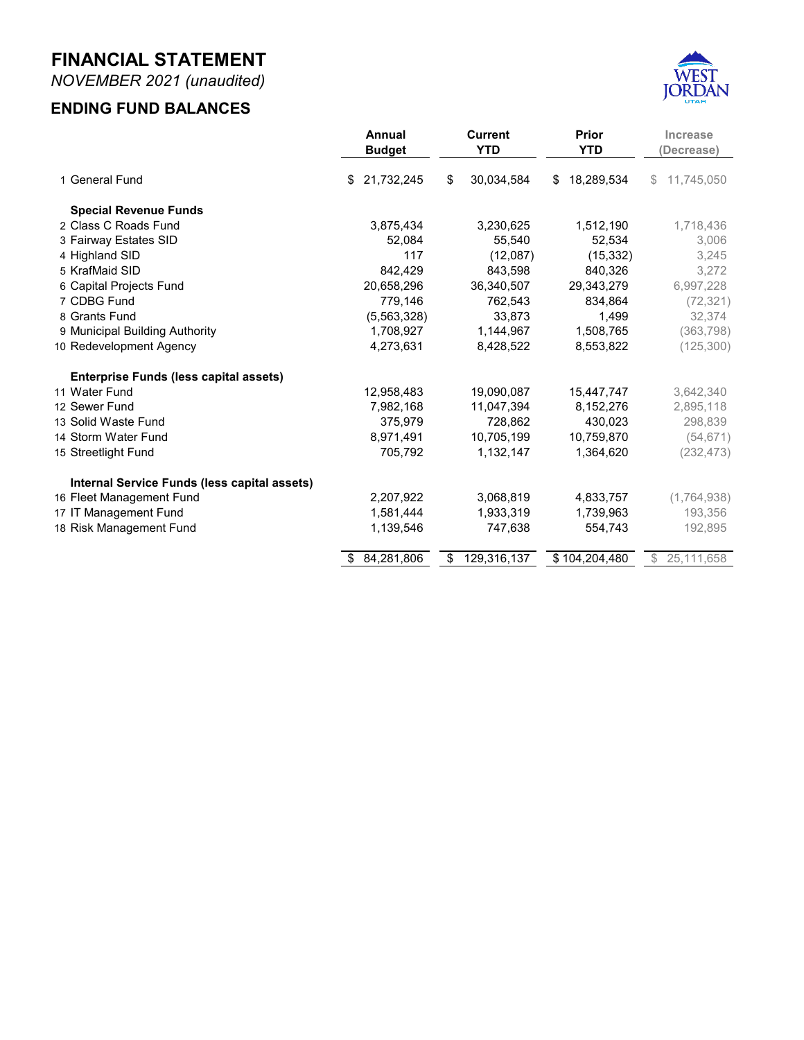**NOVEMBER 2021 MONTHLY FINANCIAL REPORT FOR THE FISCAL YEAR 2022**



**Prepared by Danyce Steck, CPFO Administrative Services Director**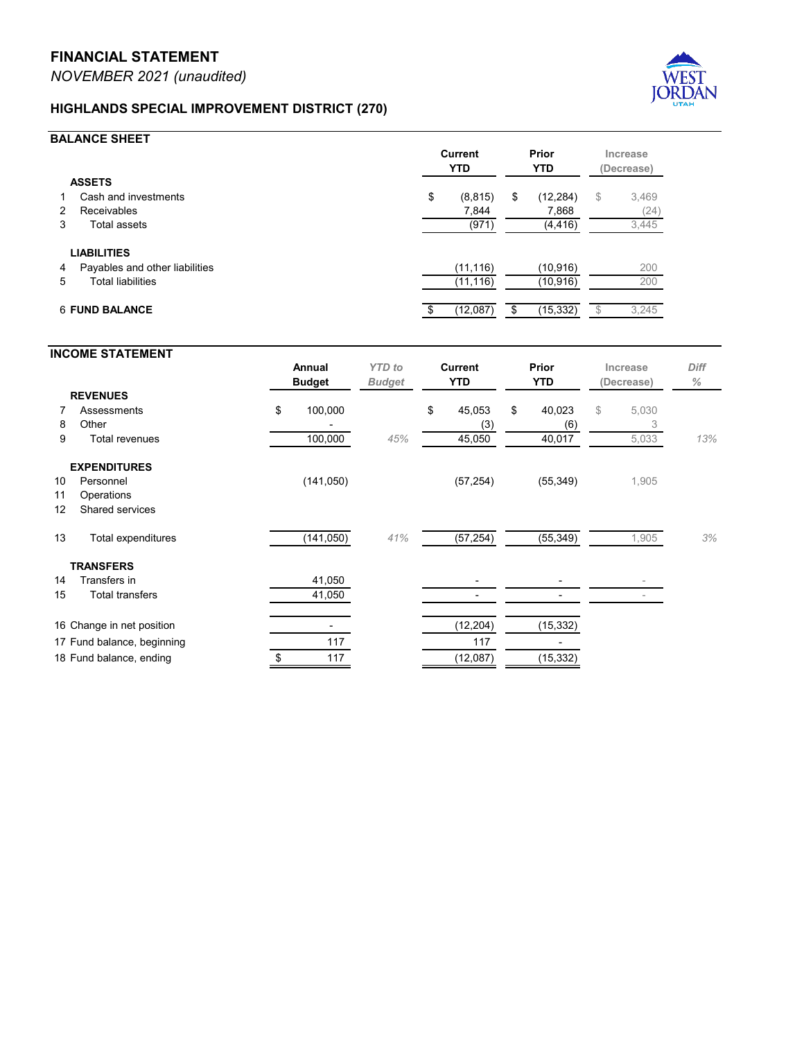## **FAIRWAY ESTATES SPECIAL DISTRICT (250)**



## **BALANCE SHEET**

|                                            | <b>Current</b><br><b>YTD</b> |        | Prior<br><b>YTD</b> |        | Increase<br>(Decrease) |       |
|--------------------------------------------|------------------------------|--------|---------------------|--------|------------------------|-------|
| <b>ASSETS</b><br>Cash and investments<br>1 | \$                           | 56,325 | \$                  | 53,319 | \$                     | 3,006 |
| Receivables<br>2                           |                              |        |                     | -      |                        |       |
| Total assets<br>3                          |                              | 56,325 |                     | 53,319 |                        | 3,006 |
| <b>LIABILITIES</b>                         |                              |        |                     |        |                        |       |
| Payables and other liabilities<br>4        |                              | (785)  |                     | (785)  |                        |       |
| <b>Total liabilities</b><br>5.             |                              | (785)  |                     | (785)  |                        |       |
| <b>6 FUND BALANCE</b>                      |                              | 55,540 |                     | 52,534 |                        | 3,006 |

|    | <b>INCOME STATEMENT</b>    |               |               |                              |          |                     |         |                        |       |                     |
|----|----------------------------|---------------|---------------|------------------------------|----------|---------------------|---------|------------------------|-------|---------------------|
|    |                            | Annual        | <b>YTD</b> to | <b>Current</b><br><b>YTD</b> |          | Prior<br><b>YTD</b> |         | Increase<br>(Decrease) |       | <b>Diff</b><br>$\%$ |
|    |                            | <b>Budget</b> | <b>Budget</b> |                              |          |                     |         |                        |       |                     |
|    | <b>REVENUES</b>            |               |               |                              |          |                     |         |                        |       |                     |
|    | Property tax               | \$<br>10,834  |               | \$                           | 8,139    | \$                  | 3,750   | \$                     | 4,389 |                     |
| 8  | Other                      | 10            |               |                              | 72       |                     | 123     |                        | (51)  |                     |
| 9  | Total revenues             | 10,844        | 76%           |                              | 8,211    |                     | 3,873   |                        | 4,338 | 112%                |
|    | <b>EXPENDITURES</b>        |               |               |                              |          |                     |         |                        |       |                     |
| 10 | Operations                 | (12,500)      |               |                              | (6, 411) |                     | (5,852) |                        | 559   |                     |
| 11 | Total expenditures         | (12, 500)     | 51%           |                              | (6, 411) |                     | (5,852) |                        | 559   | 10%                 |
|    | 12 Change in net position  | (1,656)       |               |                              | 1,800    |                     | (1,979) |                        |       |                     |
|    |                            |               |               |                              |          |                     |         |                        |       |                     |
|    | 13 Fund balance, beginning | 53,740        |               |                              | 53,740   |                     | 54,513  |                        |       |                     |
|    | 14 Fund balance, ending    | 52,084        |               |                              | 55,540   |                     | 52,534  |                        |       |                     |